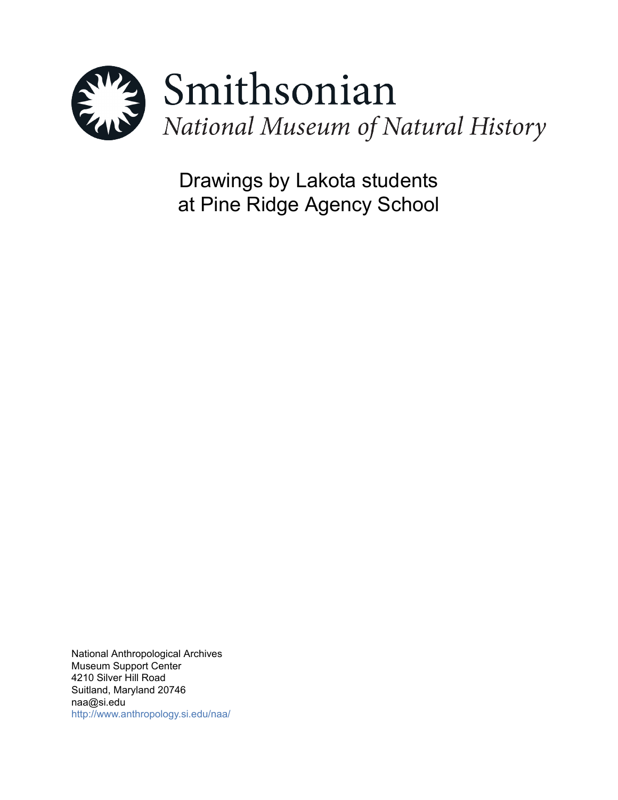

Drawings by Lakota students at Pine Ridge Agency School

National Anthropological Archives Museum Support Center 4210 Silver Hill Road Suitland, Maryland 20746 naa@si.edu <http://www.anthropology.si.edu/naa/>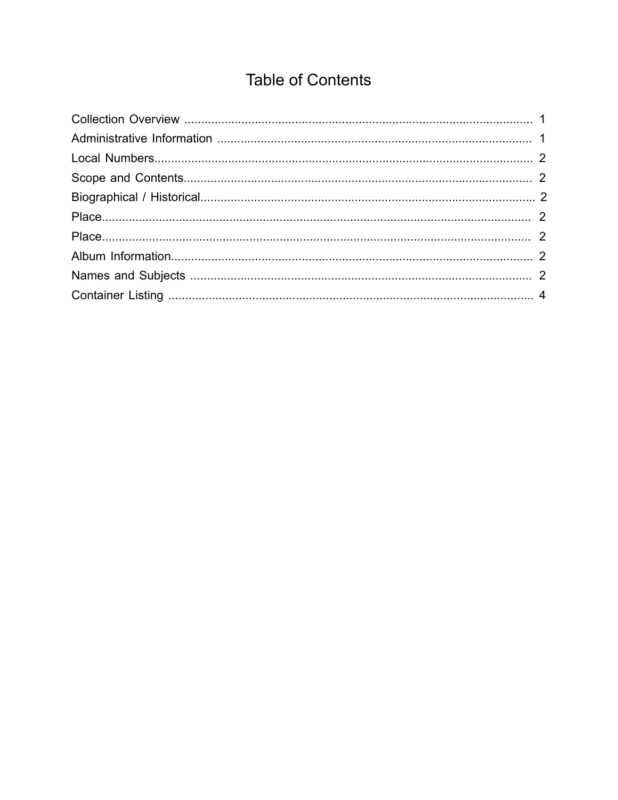# **Table of Contents**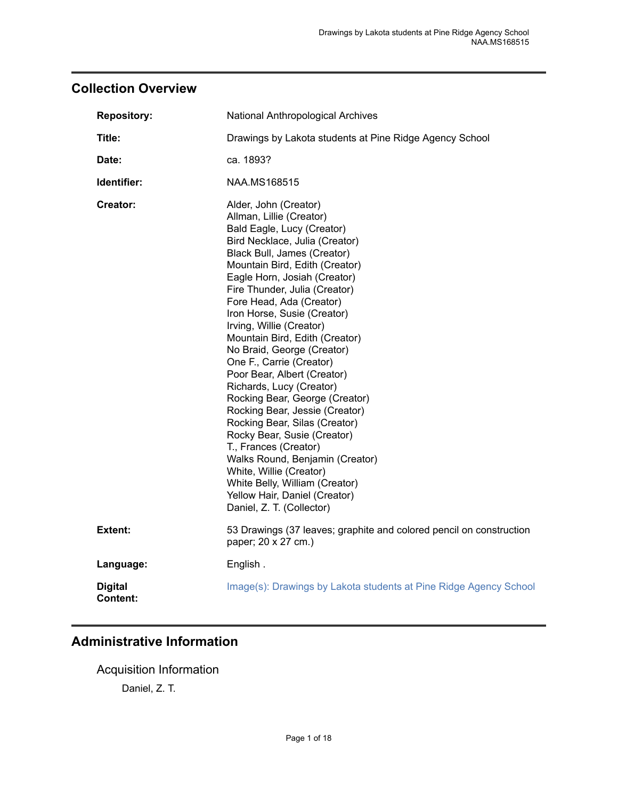# <span id="page-2-0"></span>**Collection Overview**

| <b>Repository:</b>         | National Anthropological Archives                                                                                                                                                                                                                                                                                                                                                                                                                                                                                                                                                                                                                                                                                                                                                                                            |  |
|----------------------------|------------------------------------------------------------------------------------------------------------------------------------------------------------------------------------------------------------------------------------------------------------------------------------------------------------------------------------------------------------------------------------------------------------------------------------------------------------------------------------------------------------------------------------------------------------------------------------------------------------------------------------------------------------------------------------------------------------------------------------------------------------------------------------------------------------------------------|--|
| Title:                     | Drawings by Lakota students at Pine Ridge Agency School                                                                                                                                                                                                                                                                                                                                                                                                                                                                                                                                                                                                                                                                                                                                                                      |  |
| Date:                      | ca. 1893?                                                                                                                                                                                                                                                                                                                                                                                                                                                                                                                                                                                                                                                                                                                                                                                                                    |  |
| Identifier:                | NAA.MS168515                                                                                                                                                                                                                                                                                                                                                                                                                                                                                                                                                                                                                                                                                                                                                                                                                 |  |
| Creator:                   | Alder, John (Creator)<br>Allman, Lillie (Creator)<br>Bald Eagle, Lucy (Creator)<br>Bird Necklace, Julia (Creator)<br>Black Bull, James (Creator)<br>Mountain Bird, Edith (Creator)<br>Eagle Horn, Josiah (Creator)<br>Fire Thunder, Julia (Creator)<br>Fore Head, Ada (Creator)<br>Iron Horse, Susie (Creator)<br>Irving, Willie (Creator)<br>Mountain Bird, Edith (Creator)<br>No Braid, George (Creator)<br>One F., Carrie (Creator)<br>Poor Bear, Albert (Creator)<br>Richards, Lucy (Creator)<br>Rocking Bear, George (Creator)<br>Rocking Bear, Jessie (Creator)<br>Rocking Bear, Silas (Creator)<br>Rocky Bear, Susie (Creator)<br>T., Frances (Creator)<br>Walks Round, Benjamin (Creator)<br>White, Willie (Creator)<br>White Belly, William (Creator)<br>Yellow Hair, Daniel (Creator)<br>Daniel, Z. T. (Collector) |  |
| Extent:                    | 53 Drawings (37 leaves; graphite and colored pencil on construction<br>paper; 20 x 27 cm.)                                                                                                                                                                                                                                                                                                                                                                                                                                                                                                                                                                                                                                                                                                                                   |  |
| Language:                  | English.                                                                                                                                                                                                                                                                                                                                                                                                                                                                                                                                                                                                                                                                                                                                                                                                                     |  |
| <b>Digital</b><br>Content: | Image(s): Drawings by Lakota students at Pine Ridge Agency School                                                                                                                                                                                                                                                                                                                                                                                                                                                                                                                                                                                                                                                                                                                                                            |  |

# <span id="page-2-1"></span>**Administrative Information**

Acquisition Information Daniel, Z. T.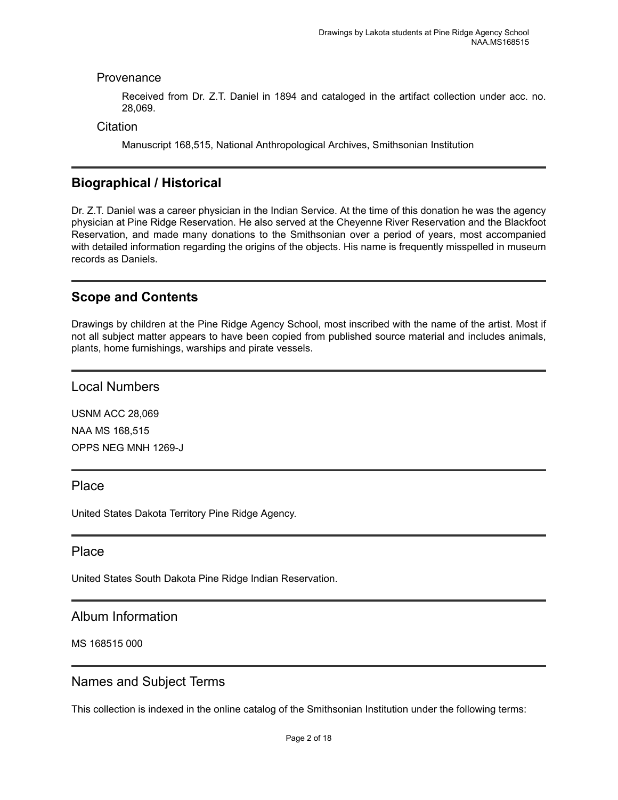## Provenance

Received from Dr. Z.T. Daniel in 1894 and cataloged in the artifact collection under acc. no. 28,069.

**Citation** 

Manuscript 168,515, National Anthropological Archives, Smithsonian Institution

# <span id="page-3-2"></span>**Biographical / Historical**

Dr. Z.T. Daniel was a career physician in the Indian Service. At the time of this donation he was the agency physician at Pine Ridge Reservation. He also served at the Cheyenne River Reservation and the Blackfoot Reservation, and made many donations to the Smithsonian over a period of years, most accompanied with detailed information regarding the origins of the objects. His name is frequently misspelled in museum records as Daniels.

# <span id="page-3-1"></span>**Scope and Contents**

Drawings by children at the Pine Ridge Agency School, most inscribed with the name of the artist. Most if not all subject matter appears to have been copied from published source material and includes animals, plants, home furnishings, warships and pirate vessels.

<span id="page-3-0"></span>Local Numbers

USNM ACC 28,069 NAA MS 168,515 OPPS NEG MNH 1269-J

## <span id="page-3-3"></span>Place

United States Dakota Territory Pine Ridge Agency.

## <span id="page-3-4"></span>Place

United States South Dakota Pine Ridge Indian Reservation.

## <span id="page-3-5"></span>Album Information

MS 168515 000

# <span id="page-3-6"></span>Names and Subject Terms

This collection is indexed in the online catalog of the Smithsonian Institution under the following terms: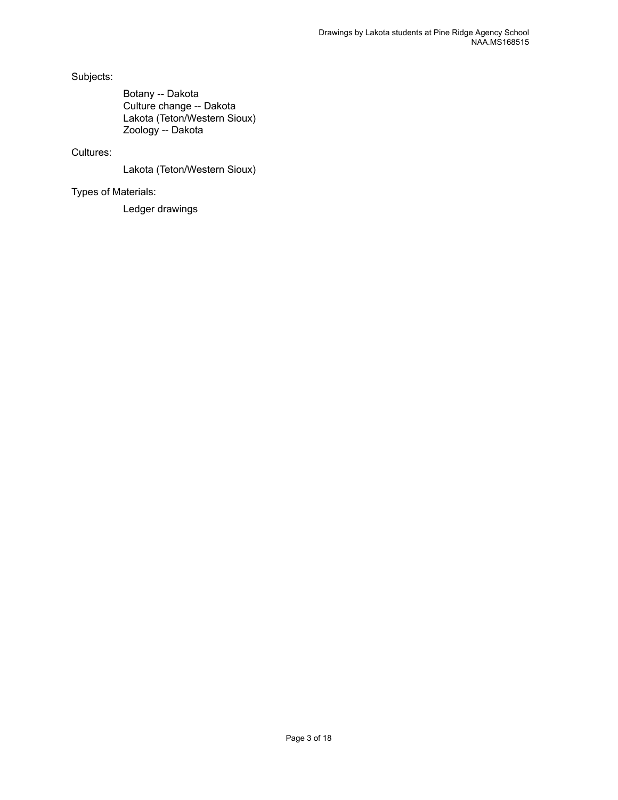Subjects:

Botany -- Dakota Culture change -- Dakota Lakota (Teton/Western Sioux) Zoology -- Dakota

### Cultures:

Lakota (Teton/Western Sioux)

Types of Materials:

Ledger drawings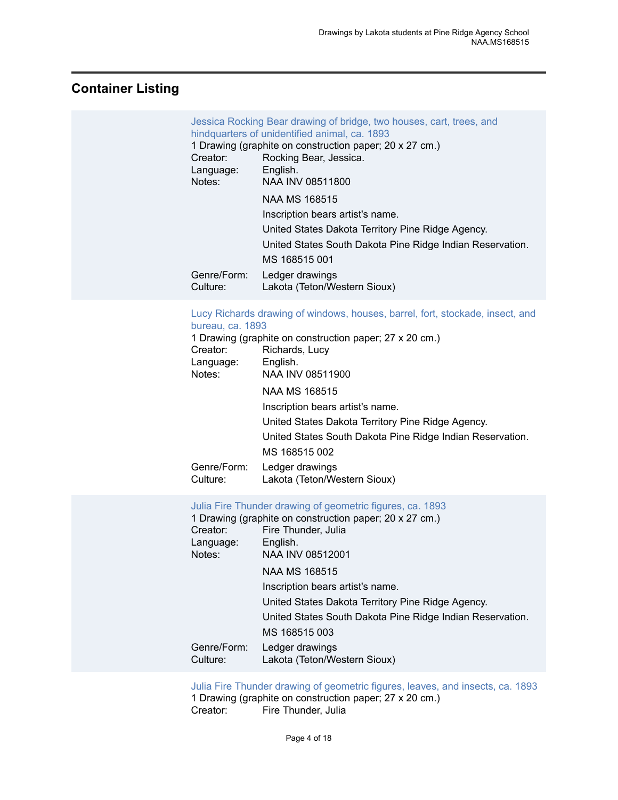# <span id="page-5-0"></span>**Container Listing**

| Creator:<br>Language:<br>Notes:                                                | Jessica Rocking Bear drawing of bridge, two houses, cart, trees, and<br>hindquarters of unidentified animal, ca. 1893<br>1 Drawing (graphite on construction paper; 20 x 27 cm.)<br>Rocking Bear, Jessica.<br>English.<br>NAA INV 08511800<br><b>NAA MS 168515</b><br>Inscription bears artist's name.<br>United States Dakota Territory Pine Ridge Agency.                                                                                  |
|--------------------------------------------------------------------------------|----------------------------------------------------------------------------------------------------------------------------------------------------------------------------------------------------------------------------------------------------------------------------------------------------------------------------------------------------------------------------------------------------------------------------------------------|
|                                                                                | United States South Dakota Pine Ridge Indian Reservation.<br>MS 168515 001                                                                                                                                                                                                                                                                                                                                                                   |
| Genre/Form:<br>Culture:                                                        | Ledger drawings<br>Lakota (Teton/Western Sioux)                                                                                                                                                                                                                                                                                                                                                                                              |
| bureau, ca. 1893<br>Creator:<br>Language:<br>Notes:<br>Genre/Form:<br>Culture: | Lucy Richards drawing of windows, houses, barrel, fort, stockade, insect, and<br>1 Drawing (graphite on construction paper; 27 x 20 cm.)<br>Richards, Lucy<br>English.<br>NAA INV 08511900<br><b>NAA MS 168515</b><br>Inscription bears artist's name.<br>United States Dakota Territory Pine Ridge Agency.<br>United States South Dakota Pine Ridge Indian Reservation.<br>MS 168515 002<br>Ledger drawings<br>Lakota (Teton/Western Sioux) |
| Creator:<br>Language:<br>Notes:<br>Genre/Form:<br>Culture:                     | Julia Fire Thunder drawing of geometric figures, ca. 1893<br>1 Drawing (graphite on construction paper; 20 x 27 cm.)<br>Fire Thunder, Julia<br>English.<br>NAA INV 08512001<br><b>NAA MS 168515</b><br>Inscription bears artist's name.<br>United States Dakota Territory Pine Ridge Agency.<br>United States South Dakota Pine Ridge Indian Reservation.<br>MS 168515 003<br>Ledger drawings<br>Lakota (Teton/Western Sioux)                |
|                                                                                |                                                                                                                                                                                                                                                                                                                                                                                                                                              |

[Julia Fire Thunder drawing of geometric figures, leaves, and insects, ca. 1893](https://ids.si.edu/ids/deliveryService?id=NMNH-168515_08512002) 1 Drawing (graphite on construction paper; 27 x 20 cm.)<br>Creator: Fire Thunder, Julia Fire Thunder, Julia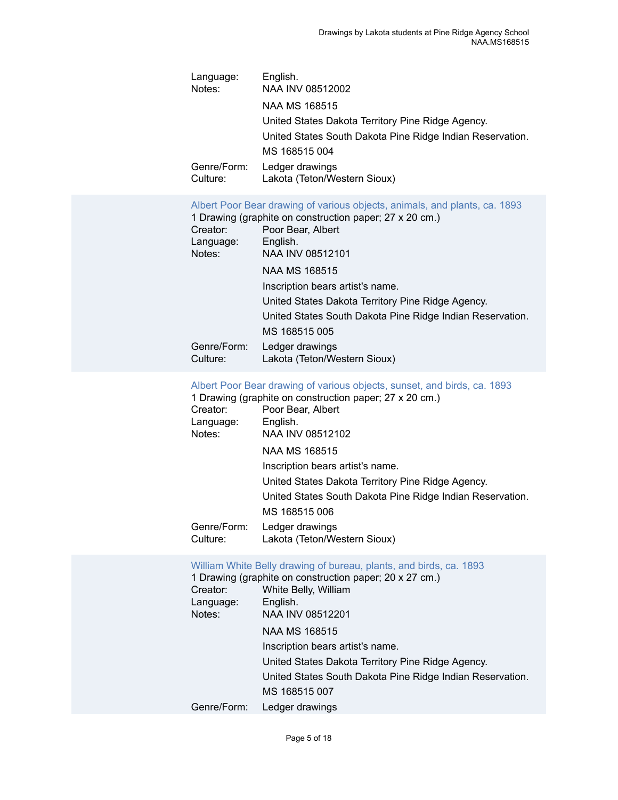| Language:<br>Notes:     | English.<br>NAA INV 08512002                              |
|-------------------------|-----------------------------------------------------------|
|                         | NAA MS 168515                                             |
|                         | United States Dakota Territory Pine Ridge Agency.         |
|                         | United States South Dakota Pine Ridge Indian Reservation. |
|                         | MS 168515 004                                             |
| Genre/Form:<br>Culture: | Ledger drawings<br>Lakota (Teton/Western Sioux)           |

|                         | Albert Poor Bear drawing of various objects, animals, and plants, ca. 1893<br>1 Drawing (graphite on construction paper; 27 x 20 cm.) |
|-------------------------|---------------------------------------------------------------------------------------------------------------------------------------|
| Creator:<br>Language:   | Poor Bear, Albert<br>English.                                                                                                         |
| Notes:                  | NAA INV 08512101                                                                                                                      |
|                         | NAA MS 168515                                                                                                                         |
|                         | Inscription bears artist's name.                                                                                                      |
|                         | United States Dakota Territory Pine Ridge Agency.                                                                                     |
|                         | United States South Dakota Pine Ridge Indian Reservation.                                                                             |
|                         | MS 168515 005                                                                                                                         |
| Genre/Form:<br>Culture: | Ledger drawings<br>Lakota (Teton/Western Sioux)                                                                                       |

#### [Albert Poor Bear drawing of various objects, sunset, and birds, ca. 1893](https://ids.si.edu/ids/deliveryService?id=NMNH-168515_08512102)

|             | 1 Drawing (graphite on construction paper; 27 x 20 cm.)   |
|-------------|-----------------------------------------------------------|
| Creator:    | Poor Bear, Albert                                         |
| Language:   | English.                                                  |
| Notes:      | NAA INV 08512102                                          |
|             | NAA MS 168515                                             |
|             | Inscription bears artist's name.                          |
|             | United States Dakota Territory Pine Ridge Agency.         |
|             | United States South Dakota Pine Ridge Indian Reservation. |
|             | MS 168515 006                                             |
| Genre/Form: | Ledger drawings                                           |
| Culture:    | Lakota (Teton/Western Sioux)                              |

# [William White Belly drawing of bureau, plants, and birds, ca. 1893](https://ids.si.edu/ids/deliveryService?id=NMNH-168515_08512201)

|             | 1 Drawing (graphite on construction paper; 20 x 27 cm.)   |
|-------------|-----------------------------------------------------------|
| Creator:    | White Belly, William                                      |
| Language:   | English.                                                  |
| Notes:      | NAA INV 08512201                                          |
|             | NAA MS 168515                                             |
|             | Inscription bears artist's name.                          |
|             | United States Dakota Territory Pine Ridge Agency.         |
|             | United States South Dakota Pine Ridge Indian Reservation. |
|             | MS 168515 007                                             |
| Genre/Form: | Ledger drawings                                           |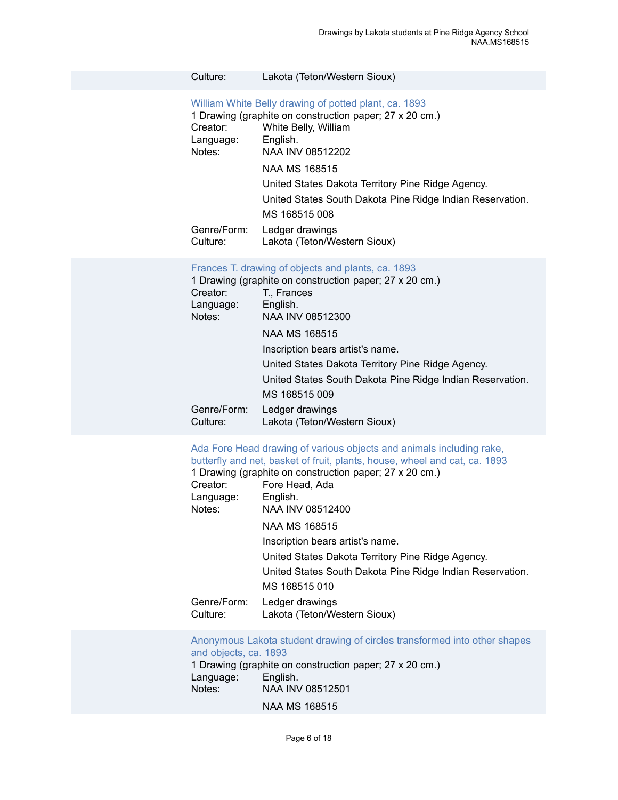| Culture: |  | Lakota (Teton/Western Sioux) |  |
|----------|--|------------------------------|--|
|----------|--|------------------------------|--|

#### [William White Belly drawing of potted plant, ca. 1893](https://ids.si.edu/ids/deliveryService?id=NMNH-168515_08512202)

| 1 Drawing (graphite on construction paper; 27 x 20 cm.)   |
|-----------------------------------------------------------|
| White Belly, William                                      |
| English.                                                  |
| NAA INV 08512202                                          |
| NAA MS 168515                                             |
| United States Dakota Territory Pine Ridge Agency.         |
| United States South Dakota Pine Ridge Indian Reservation. |
| MS 168515 008                                             |
| Ledger drawings<br>Lakota (Teton/Western Sioux)           |
|                                                           |

#### [Frances](https://ids.si.edu/ids/deliveryService?id=NMNH-168515_08512300) T. drawing of objects and plants, ca. 1893

|             | 1 Drawing (graphite on construction paper; 27 x 20 cm.)   |
|-------------|-----------------------------------------------------------|
| Creator:    | T., Frances                                               |
| Language:   | English.                                                  |
| Notes:      | NAA INV 08512300                                          |
|             | NAA MS 168515                                             |
|             | Inscription bears artist's name.                          |
|             | United States Dakota Territory Pine Ridge Agency.         |
|             | United States South Dakota Pine Ridge Indian Reservation. |
|             | MS 168515 009                                             |
| Genre/Form: | Ledger drawings                                           |
| Culture:    | Lakota (Teton/Western Sioux)                              |

#### [Ada Fore Head drawing of various objects and animals including rake,](https://ids.si.edu/ids/deliveryService?id=NMNH-168515_08512400) [butterfly and net, basket of fruit, plants, house, wheel and cat, ca. 1893](https://ids.si.edu/ids/deliveryService?id=NMNH-168515_08512400)

|                         | 1 Drawing (graphite on construction paper; 27 x 20 cm.)   |
|-------------------------|-----------------------------------------------------------|
| Creator:                | Fore Head, Ada                                            |
| Language:               | English.                                                  |
| Notes:                  | NAA INV 08512400                                          |
|                         | NAA MS 168515                                             |
|                         | Inscription bears artist's name.                          |
|                         | United States Dakota Territory Pine Ridge Agency.         |
|                         | United States South Dakota Pine Ridge Indian Reservation. |
|                         | MS 168515 010                                             |
| Genre/Form:<br>Culture: | Ledger drawings<br>Lakota (Teton/Western Sioux)           |
|                         |                                                           |

[Anonymous Lakota student drawing of circles transformed into other shapes](https://ids.si.edu/ids/deliveryService?id=NMNH-168515_08512501) [and objects, ca. 1893](https://ids.si.edu/ids/deliveryService?id=NMNH-168515_08512501) 1 Drawing (graphite on construction paper; 27 x 20 cm.) Language:<br>Notes: NAA INV 08512501 NAA MS 168515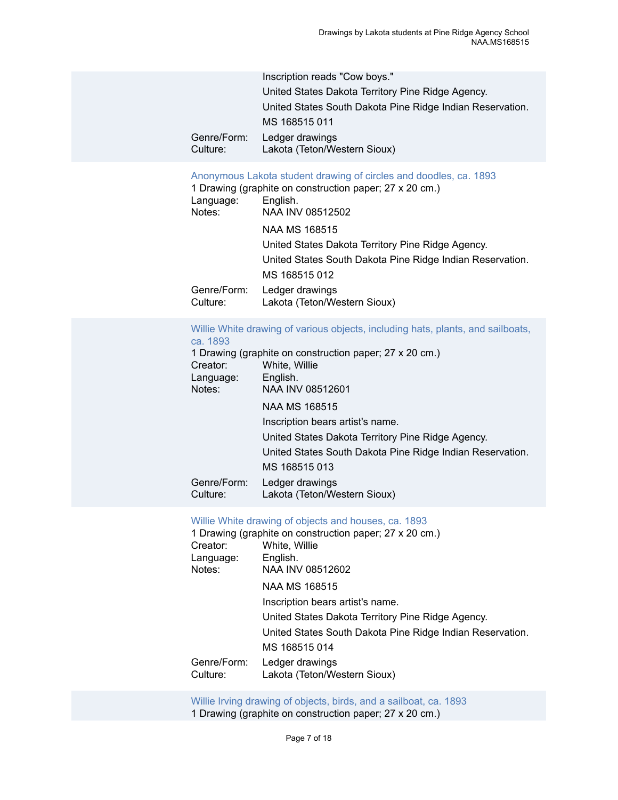|             | Inscription reads "Cow boys."                             |
|-------------|-----------------------------------------------------------|
|             | United States Dakota Territory Pine Ridge Agency.         |
|             | United States South Dakota Pine Ridge Indian Reservation. |
|             | MS 168515 011                                             |
| Genre/Form: | Ledger drawings                                           |
| Culture:    | Lakota (Teton/Western Sioux)                              |

#### [Anonymous Lakota student drawing of circles and doodles, ca. 1893](https://ids.si.edu/ids/deliveryService?id=NMNH-168515_08512502)

|                         | 1 Drawing (graphite on construction paper; 27 x 20 cm.)   |
|-------------------------|-----------------------------------------------------------|
| Language:               | English.                                                  |
| Notes:                  | NAA INV 08512502                                          |
|                         | <b>NAA MS 168515</b>                                      |
|                         | United States Dakota Territory Pine Ridge Agency.         |
|                         | United States South Dakota Pine Ridge Indian Reservation. |
|                         | MS 168515 012                                             |
| Genre/Form:<br>Culture: | Ledger drawings<br>Lakota (Teton/Western Sioux)           |
|                         |                                                           |

#### [Willie White drawing of various objects, including hats, plants, and sailboats,](https://ids.si.edu/ids/deliveryService?id=NMNH-168515_08512601) [ca. 1893](https://ids.si.edu/ids/deliveryService?id=NMNH-168515_08512601)

|                         | 1 Drawing (graphite on construction paper; 27 x 20 cm.)   |
|-------------------------|-----------------------------------------------------------|
| Creator:                | White, Willie                                             |
| Language:               | English.                                                  |
| Notes:                  | NAA INV 08512601                                          |
|                         | NAA MS 168515                                             |
|                         | Inscription bears artist's name.                          |
|                         | United States Dakota Territory Pine Ridge Agency.         |
|                         | United States South Dakota Pine Ridge Indian Reservation. |
|                         | MS 168515 013                                             |
| Genre/Form:<br>Culture: | Ledger drawings<br>Lakota (Teton/Western Sioux)           |

#### [Willie White drawing of objects and houses, ca. 1893](https://ids.si.edu/ids/deliveryService?id=NMNH-168515_08512602)

|             | 1 Drawing (graphite on construction paper; 27 x 20 cm.)   |
|-------------|-----------------------------------------------------------|
| Creator:    | White, Willie                                             |
| Language:   | English.                                                  |
| Notes:      | NAA INV 08512602                                          |
|             | NAA MS 168515                                             |
|             | Inscription bears artist's name.                          |
|             | United States Dakota Territory Pine Ridge Agency.         |
|             | United States South Dakota Pine Ridge Indian Reservation. |
|             | MS 168515 014                                             |
| Genre/Form: | Ledger drawings                                           |
| Culture:    | Lakota (Teton/Western Sioux)                              |

[Willie Irving drawing of objects, birds, and a sailboat, ca. 1893](https://ids.si.edu/ids/deliveryService?id=NMNH-168515_08512700) 1 Drawing (graphite on construction paper; 27 x 20 cm.)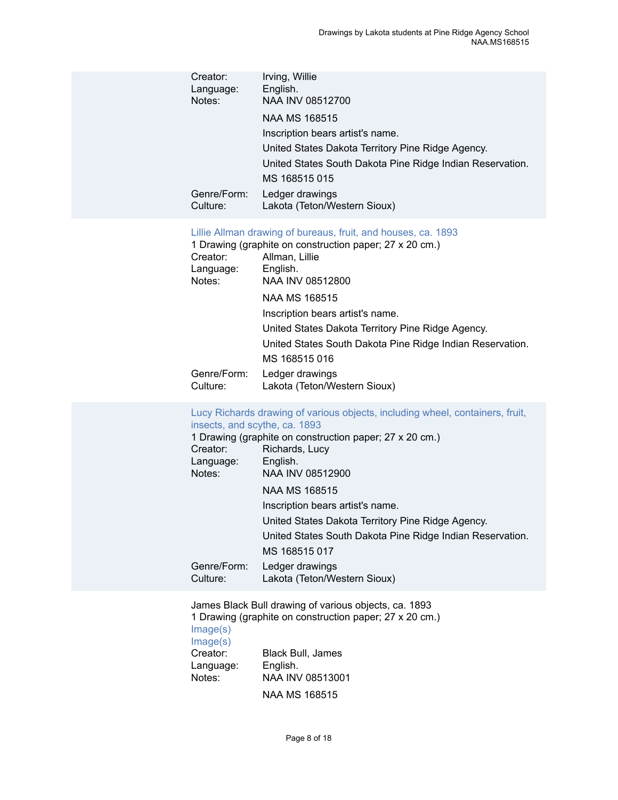| Creator:<br>Language:<br>Notes:<br>Genre/Form:<br>Culture:                                  | Irving, Willie<br>English.<br>NAA INV 08512700<br><b>NAA MS 168515</b><br>Inscription bears artist's name.<br>United States Dakota Territory Pine Ridge Agency.<br>United States South Dakota Pine Ridge Indian Reservation.<br>MS 168515 015<br>Ledger drawings<br>Lakota (Teton/Western Sioux)                                                                                                                                             |
|---------------------------------------------------------------------------------------------|----------------------------------------------------------------------------------------------------------------------------------------------------------------------------------------------------------------------------------------------------------------------------------------------------------------------------------------------------------------------------------------------------------------------------------------------|
| Creator:<br>Language:<br>Notes:<br>Genre/Form:<br>Culture:                                  | Lillie Allman drawing of bureaus, fruit, and houses, ca. 1893<br>1 Drawing (graphite on construction paper; 27 x 20 cm.)<br>Allman, Lillie<br>English.<br>NAA INV 08512800<br><b>NAA MS 168515</b><br>Inscription bears artist's name.<br>United States Dakota Territory Pine Ridge Agency.<br>United States South Dakota Pine Ridge Indian Reservation.<br>MS 168515 016<br>Ledger drawings<br>Lakota (Teton/Western Sioux)                 |
| insects, and scythe, ca. 1893<br>Creator:<br>Language:<br>Notes:<br>Genre/Form:<br>Culture: | Lucy Richards drawing of various objects, including wheel, containers, fruit,<br>1 Drawing (graphite on construction paper; 27 x 20 cm.)<br>Richards, Lucy<br>English.<br>NAA INV 08512900<br><b>NAA MS 168515</b><br>Inscription bears artist's name.<br>United States Dakota Territory Pine Ridge Agency.<br>United States South Dakota Pine Ridge Indian Reservation.<br>MS 168515 017<br>Ledger drawings<br>Lakota (Teton/Western Sioux) |
| Image(s)<br>Image(s)<br>Creator:<br>Language:<br>Notes:                                     | James Black Bull drawing of various objects, ca. 1893<br>1 Drawing (graphite on construction paper; 27 x 20 cm.)<br>Black Bull, James<br>English.<br>NAA INV 08513001                                                                                                                                                                                                                                                                        |

NAA MS 168515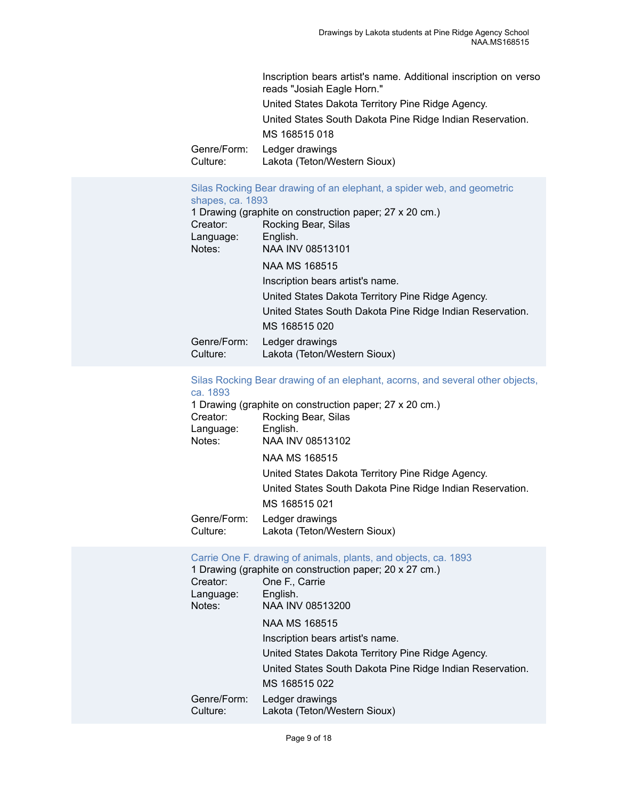Inscription bears artist's name. Additional inscription on verso reads "Josiah Eagle Horn." United States Dakota Territory Pine Ridge Agency. United States South Dakota Pine Ridge Indian Reservation. MS 168515 018 Genre/Form: Ledger drawings<br>Culture: Lakota (Teton/We Lakota (Teton/Western Sioux)

#### [Silas Rocking Bear drawing of an elephant, a spider web, and geometric](https://ids.si.edu/ids/deliveryService?id=NMNH-168515_08513101) [shapes, ca. 1893](https://ids.si.edu/ids/deliveryService?id=NMNH-168515_08513101)

| Creator:<br>Language:<br>Notes: | 1 Drawing (graphite on construction paper; 27 x 20 cm.)<br>Rocking Bear, Silas<br>English.<br>NAA INV 08513101 |
|---------------------------------|----------------------------------------------------------------------------------------------------------------|
|                                 | NAA MS 168515                                                                                                  |
|                                 | Inscription bears artist's name.                                                                               |
|                                 | United States Dakota Territory Pine Ridge Agency.                                                              |
|                                 | United States South Dakota Pine Ridge Indian Reservation.                                                      |
|                                 | MS 168515 020                                                                                                  |
| Genre/Form:<br>Culture:         | Ledger drawings<br>Lakota (Teton/Western Sioux)                                                                |
|                                 |                                                                                                                |

#### [Silas Rocking Bear drawing of an elephant, acorns, and several other objects,](https://ids.si.edu/ids/deliveryService?id=NMNH-168515_08513102) [ca. 1893](https://ids.si.edu/ids/deliveryService?id=NMNH-168515_08513102)

|                         | 1 Drawing (graphite on construction paper; 27 x 20 cm.)   |
|-------------------------|-----------------------------------------------------------|
| Creator:                | Rocking Bear, Silas                                       |
| Language:               | English.                                                  |
| Notes:                  | NAA INV 08513102                                          |
|                         | NAA MS 168515                                             |
|                         | United States Dakota Territory Pine Ridge Agency.         |
|                         | United States South Dakota Pine Ridge Indian Reservation. |
|                         | MS 168515 021                                             |
| Genre/Form:<br>Culture: | Ledger drawings<br>Lakota (Teton/Western Sioux)           |

#### Carrie One F. drawing of [animals,](https://ids.si.edu/ids/deliveryService?id=NMNH-168515_08513200) plants, and objects, ca. 1893

|                         | 1 Drawing (graphite on construction paper; 20 x 27 cm.)   |
|-------------------------|-----------------------------------------------------------|
| Creator:                | One F., Carrie                                            |
| Language:               | English.                                                  |
| Notes:                  | NAA INV 08513200                                          |
|                         | NAA MS 168515                                             |
|                         | Inscription bears artist's name.                          |
|                         | United States Dakota Territory Pine Ridge Agency.         |
|                         | United States South Dakota Pine Ridge Indian Reservation. |
|                         | MS 168515 022                                             |
| Genre/Form:<br>Culture: | Ledger drawings<br>Lakota (Teton/Western Sioux)           |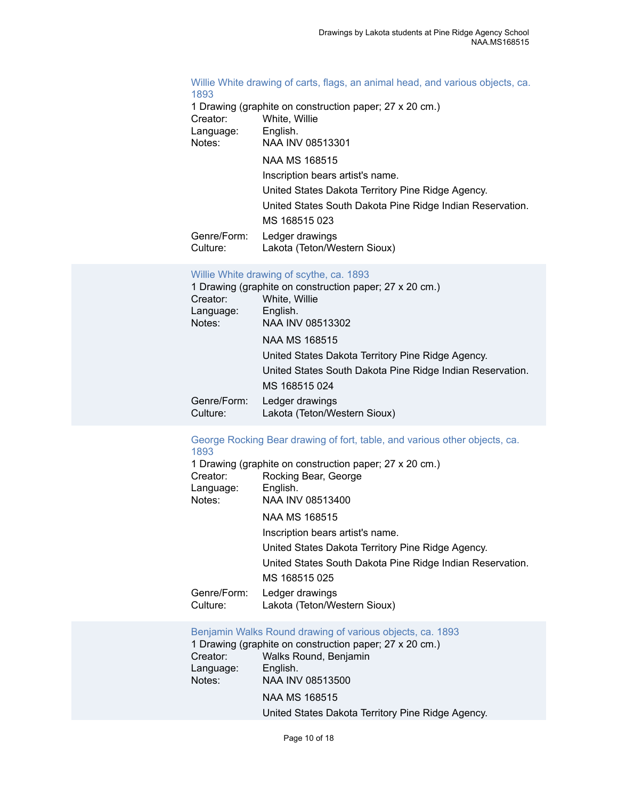#### [Willie White drawing of carts, flags, an animal head, and various objects, ca.](https://ids.si.edu/ids/deliveryService?id=NMNH-168515_08513301) [1893](https://ids.si.edu/ids/deliveryService?id=NMNH-168515_08513301)

1 Drawing (graphite on construction paper; 27 x 20 cm.) Creator: White, Willie Language: English. Notes: NAA INV 08513301 NAA MS 168515 Inscription bears artist's name. United States Dakota Territory Pine Ridge Agency. United States South Dakota Pine Ridge Indian Reservation. MS 168515 023 Genre/Form: Ledger drawings Culture: Lakota (Teton/Western Sioux)

#### [Willie White drawing of scythe, ca. 1893](https://ids.si.edu/ids/deliveryService?id=NMNH-168515_08513302)

|                                 | 1 Drawing (graphite on construction paper; 27 x 20 cm.)   |
|---------------------------------|-----------------------------------------------------------|
| Creator:<br>Language:<br>Notes: | White, Willie<br>English.<br>NAA INV 08513302             |
|                                 | NAA MS 168515                                             |
|                                 | United States Dakota Territory Pine Ridge Agency.         |
|                                 | United States South Dakota Pine Ridge Indian Reservation. |
|                                 | MS 168515 024                                             |
| Genre/Form:<br>Culture:         | Ledger drawings<br>Lakota (Teton/Western Sioux)           |

#### [George Rocking Bear drawing of fort, table, and various other objects, ca.](https://ids.si.edu/ids/deliveryService?id=NMNH-168515_08513400) [1893](https://ids.si.edu/ids/deliveryService?id=NMNH-168515_08513400)

|             | 1 Drawing (graphite on construction paper; 27 x 20 cm.)   |
|-------------|-----------------------------------------------------------|
| Creator:    | Rocking Bear, George                                      |
| Language:   | English.                                                  |
| Notes:      | NAA INV 08513400                                          |
|             | <b>NAA MS 168515</b>                                      |
|             | Inscription bears artist's name.                          |
|             | United States Dakota Territory Pine Ridge Agency.         |
|             | United States South Dakota Pine Ridge Indian Reservation. |
|             | MS 168515 025                                             |
| Genre/Form: | Ledger drawings                                           |
| Culture:    | Lakota (Teton/Western Sioux)                              |

[Benjamin](https://ids.si.edu/ids/deliveryService?id=NMNH-168515_08513500) Walks Round drawing of various objects, ca. 1893

1 Drawing (graphite on construction paper; 27 x 20 cm.) Creator: Walks Round, Benjamin Language: English. Notes: NAA INV 08513500 NAA MS 168515 United States Dakota Territory Pine Ridge Agency.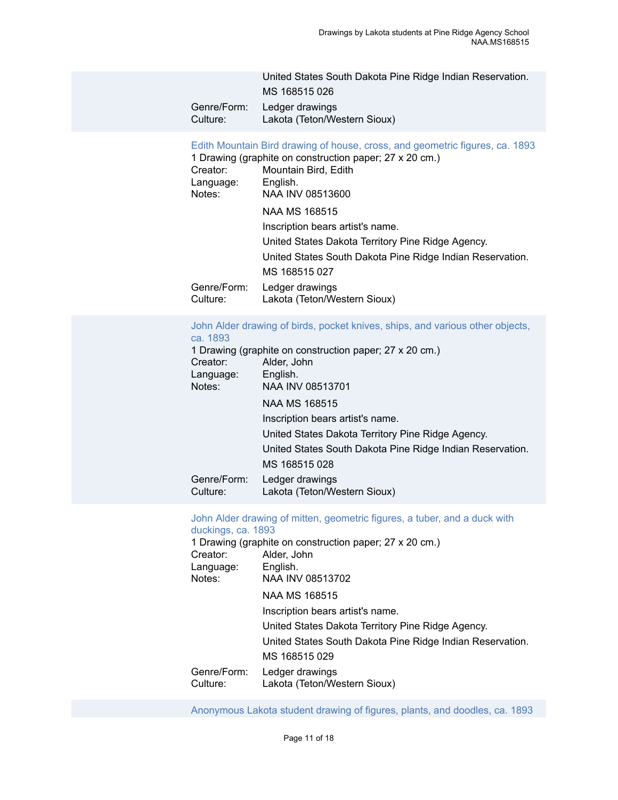|             | United States South Dakota Pine Ridge Indian Reservation. |
|-------------|-----------------------------------------------------------|
|             | MS 168515 026                                             |
| Genre/Form: | Ledger drawings                                           |
| Culture:    | Lakota (Teton/Western Sioux)                              |

[Edith Mountain Bird drawing of house, cross, and geometric figures, ca. 1893](https://ids.si.edu/ids/deliveryService?id=NMNH-168515_08513600)

|                         | 1 Drawing (graphite on construction paper; 27 x 20 cm.)   |
|-------------------------|-----------------------------------------------------------|
| Creator:                | Mountain Bird, Edith                                      |
| Language:               | English.                                                  |
| Notes:                  | NAA INV 08513600                                          |
|                         | NAA MS 168515                                             |
|                         | Inscription bears artist's name.                          |
|                         | United States Dakota Territory Pine Ridge Agency.         |
|                         | United States South Dakota Pine Ridge Indian Reservation. |
|                         | MS 168515 027                                             |
| Genre/Form:<br>Culture: | Ledger drawings<br>Lakota (Teton/Western Sioux)           |
|                         |                                                           |

#### [John Alder drawing of birds, pocket knives, ships, and various other objects,](https://ids.si.edu/ids/deliveryService?id=NMNH-168515_08513701) [ca. 1893](https://ids.si.edu/ids/deliveryService?id=NMNH-168515_08513701)

|                         | 1 Drawing (graphite on construction paper; 27 x 20 cm.)   |
|-------------------------|-----------------------------------------------------------|
| Creator:                | Alder, John                                               |
| Language:               | English.                                                  |
| Notes:                  | NAA INV 08513701                                          |
|                         | NAA MS 168515                                             |
|                         | Inscription bears artist's name.                          |
|                         | United States Dakota Territory Pine Ridge Agency.         |
|                         | United States South Dakota Pine Ridge Indian Reservation. |
|                         | MS 168515 028                                             |
| Genre/Form:<br>Culture: | Ledger drawings<br>Lakota (Teton/Western Sioux)           |

#### John Alder drawing of mitten, [geometric](https://ids.si.edu/ids/deliveryService?id=NMNH-168515_08513702) figures, a tuber, and a duck with [duckings, ca. 1893](https://ids.si.edu/ids/deliveryService?id=NMNH-168515_08513702)

|             | 1 Drawing (graphite on construction paper; 27 x 20 cm.)   |
|-------------|-----------------------------------------------------------|
| Creator:    | Alder, John                                               |
| Language:   | English.                                                  |
| Notes:      | NAA INV 08513702                                          |
|             | NAA MS 168515                                             |
|             | Inscription bears artist's name.                          |
|             | United States Dakota Territory Pine Ridge Agency.         |
|             | United States South Dakota Pine Ridge Indian Reservation. |
|             | MS 168515 029                                             |
| Genre/Form: | Ledger drawings                                           |
| Culture:    | Lakota (Teton/Western Sioux)                              |

[Anonymous Lakota student drawing of figures, plants, and doodles, ca. 1893](https://ids.si.edu/ids/deliveryService?id=NMNH-168515_08513801)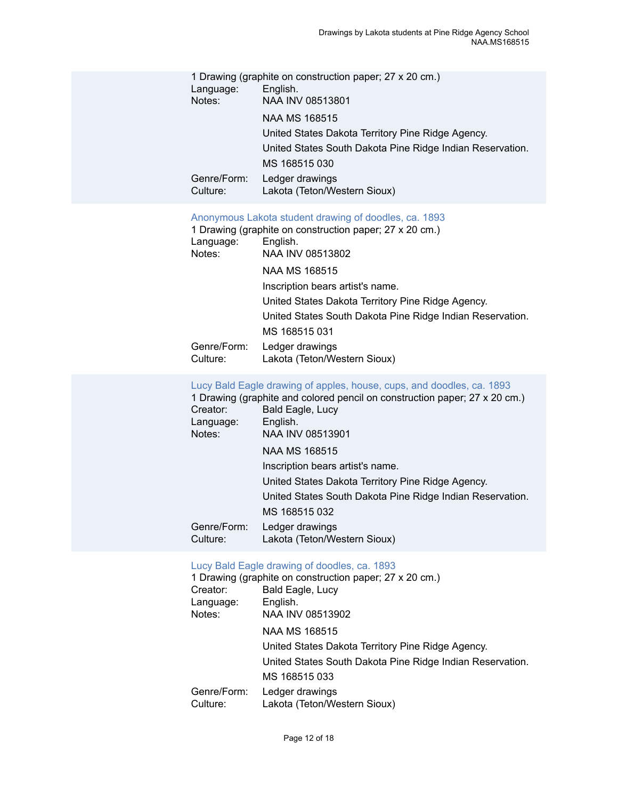| Language:<br>Notes:<br>Genre/Form:<br>Culture:             | 1 Drawing (graphite on construction paper; 27 x 20 cm.)<br>English.<br>NAA INV 08513801<br><b>NAA MS 168515</b><br>United States Dakota Territory Pine Ridge Agency.<br>United States South Dakota Pine Ridge Indian Reservation.<br>MS 168515 030<br>Ledger drawings<br>Lakota (Teton/Western Sioux)                                                                                                                                                     |
|------------------------------------------------------------|-----------------------------------------------------------------------------------------------------------------------------------------------------------------------------------------------------------------------------------------------------------------------------------------------------------------------------------------------------------------------------------------------------------------------------------------------------------|
| Language:<br>Notes:<br>Genre/Form:<br>Culture:             | Anonymous Lakota student drawing of doodles, ca. 1893<br>1 Drawing (graphite on construction paper; 27 x 20 cm.)<br>English.<br>NAA INV 08513802<br><b>NAA MS 168515</b><br>Inscription bears artist's name.<br>United States Dakota Territory Pine Ridge Agency.<br>United States South Dakota Pine Ridge Indian Reservation.<br>MS 168515 031<br>Ledger drawings<br>Lakota (Teton/Western Sioux)                                                        |
| Creator:<br>Language:<br>Notes:<br>Genre/Form:<br>Culture: | Lucy Bald Eagle drawing of apples, house, cups, and doodles, ca. 1893<br>1 Drawing (graphite and colored pencil on construction paper; 27 x 20 cm.)<br>Bald Eagle, Lucy<br>English.<br>NAA INV 08513901<br><b>NAA MS 168515</b><br>Inscription bears artist's name.<br>United States Dakota Territory Pine Ridge Agency.<br>United States South Dakota Pine Ridge Indian Reservation.<br>MS 168515 032<br>Ledger drawings<br>Lakota (Teton/Western Sioux) |
|                                                            | Lucy Bald Eagle drawing of doodles, ca. 1893<br>1 Drawing (graphite on construction paper; 27 x 20 cm.)                                                                                                                                                                                                                                                                                                                                                   |

|                         | 1 Drawing (graphite on construction paper; 27 x 20 cm.)   |
|-------------------------|-----------------------------------------------------------|
| Creator:                | Bald Eagle, Lucy                                          |
| Language:               | English.                                                  |
| Notes:                  | NAA INV 08513902                                          |
|                         | NAA MS 168515                                             |
|                         | United States Dakota Territory Pine Ridge Agency.         |
|                         | United States South Dakota Pine Ridge Indian Reservation. |
|                         | MS 168515 033                                             |
| Genre/Form:<br>Culture: | Ledger drawings<br>Lakota (Teton/Western Sioux)           |
|                         |                                                           |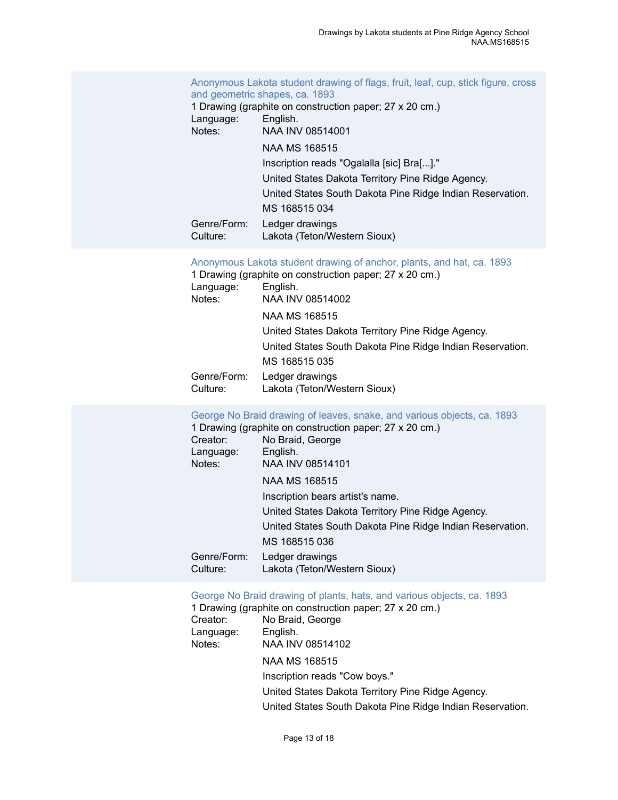[Anonymous Lakota student drawing of flags, fruit, leaf, cup, stick figure, cross](https://ids.si.edu/ids/deliveryService?id=NMNH-168515_08514001) [and geometric shapes, ca. 1893](https://ids.si.edu/ids/deliveryService?id=NMNH-168515_08514001)

1 Drawing (graphite on construction paper; 27 x 20 cm.) Language: English. Notes: NAA INV 08514001 NAA MS 168515 Inscription reads "Ogalalla [sic] Bra[...]." United States Dakota Territory Pine Ridge Agency. United States South Dakota Pine Ridge Indian Reservation. MS 168515 034 Genre/Form: Ledger drawings<br>Culture: Lakota (Teton/We Lakota (Teton/Western Sioux)

[Anonymous](https://ids.si.edu/ids/deliveryService?id=NMNH-168515_08514002) Lakota student drawing of anchor, plants, and hat, ca. 1893

|             | 1 Drawing (graphite on construction paper; 27 x 20 cm.)   |
|-------------|-----------------------------------------------------------|
| Language:   | English.                                                  |
| Notes:      | NAA INV 08514002                                          |
|             | NAA MS 168515                                             |
|             | United States Dakota Territory Pine Ridge Agency.         |
|             | United States South Dakota Pine Ridge Indian Reservation. |
|             | MS 168515 035                                             |
| Genre/Form: | Ledger drawings                                           |
| Culture:    | Lakota (Teton/Western Sioux)                              |

#### [George No Braid drawing of leaves, snake, and various objects, ca. 1893](https://ids.si.edu/ids/deliveryService?id=NMNH-168515_08514101)

|                         | 1 Drawing (graphite on construction paper; 27 x 20 cm.)   |
|-------------------------|-----------------------------------------------------------|
| Creator:                | No Braid, George                                          |
| Language:               | English.                                                  |
| Notes:                  | NAA INV 08514101                                          |
|                         | NAA MS 168515                                             |
|                         | Inscription bears artist's name.                          |
|                         | United States Dakota Territory Pine Ridge Agency.         |
|                         | United States South Dakota Pine Ridge Indian Reservation. |
|                         | MS 168515 036                                             |
| Genre/Form:<br>Culture: | Ledger drawings<br>Lakota (Teton/Western Sioux)           |

#### [George No Braid drawing of plants, hats, and various objects, ca. 1893](https://ids.si.edu/ids/deliveryService?id=NMNH-168515_08514102)

| 1 Drawing (graphite on construction paper; 27 x 20 cm.)   |
|-----------------------------------------------------------|
| No Braid, George                                          |
| English.                                                  |
| NAA INV 08514102                                          |
| <b>NAA MS 168515</b>                                      |
| Inscription reads "Cow boys."                             |
| United States Dakota Territory Pine Ridge Agency.         |
| United States South Dakota Pine Ridge Indian Reservation. |
|                                                           |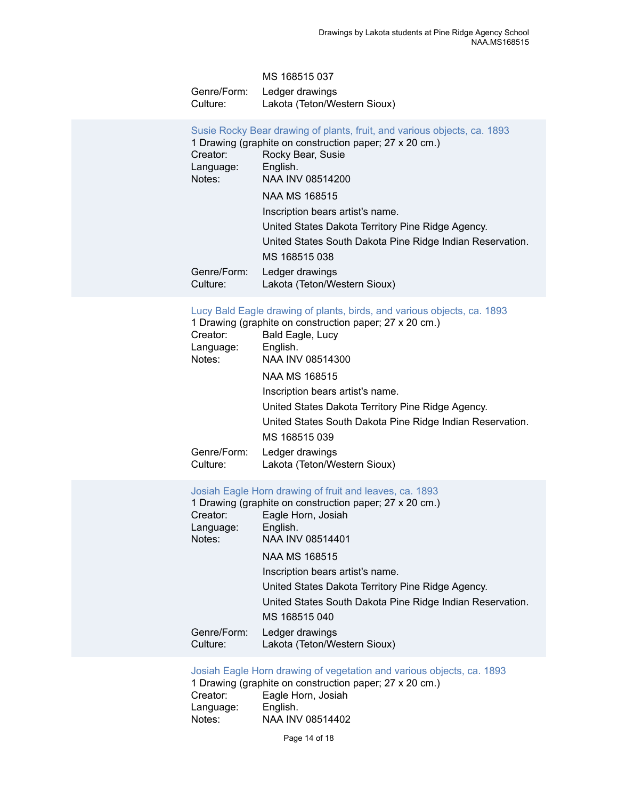|             | MS 168515 037                |
|-------------|------------------------------|
| Genre/Form: | Ledger drawings              |
| Culture: .  | Lakota (Teton/Western Sioux) |

| Susie Rocky Bear drawing of plants, fruit, and various objects, ca. 1893<br>1 Drawing (graphite on construction paper; 27 x 20 cm.) |
|-------------------------------------------------------------------------------------------------------------------------------------|
| Rocky Bear, Susie                                                                                                                   |
| English.                                                                                                                            |
| NAA INV 08514200                                                                                                                    |
| NAA MS 168515                                                                                                                       |
| Inscription bears artist's name.                                                                                                    |
| United States Dakota Territory Pine Ridge Agency.                                                                                   |
| United States South Dakota Pine Ridge Indian Reservation.                                                                           |
| MS 168515 038                                                                                                                       |
| Ledger drawings<br>Lakota (Teton/Western Sioux)                                                                                     |
|                                                                                                                                     |

[Lucy Bald Eagle drawing of plants, birds, and various objects, ca. 1893](https://ids.si.edu/ids/deliveryService?id=NMNH-168515_08514300)

|             | 1 Drawing (graphite on construction paper; 27 x 20 cm.)   |
|-------------|-----------------------------------------------------------|
| Creator:    | Bald Eagle, Lucy                                          |
| Language:   | English.                                                  |
| Notes:      | NAA INV 08514300                                          |
|             | NAA MS 168515                                             |
|             | Inscription bears artist's name.                          |
|             | United States Dakota Territory Pine Ridge Agency.         |
|             | United States South Dakota Pine Ridge Indian Reservation. |
|             | MS 168515 039                                             |
| Genre/Form: | Ledger drawings                                           |
| Culture:    | Lakota (Teton/Western Sioux)                              |

[Josiah Eagle Horn drawing of fruit and leaves, ca. 1893](https://ids.si.edu/ids/deliveryService?id=NMNH-168515_08514401)

|             | 1 Drawing (graphite on construction paper; 27 x 20 cm.)   |
|-------------|-----------------------------------------------------------|
| Creator:    | Eagle Horn, Josiah                                        |
| Language:   | English.                                                  |
| Notes:      | NAA INV 08514401                                          |
|             | NAA MS 168515                                             |
|             | Inscription bears artist's name.                          |
|             | United States Dakota Territory Pine Ridge Agency.         |
|             | United States South Dakota Pine Ridge Indian Reservation. |
|             | MS 168515 040                                             |
| Genre/Form: | Ledger drawings                                           |
| Culture:    | Lakota (Teton/Western Sioux)                              |

[Josiah Eagle Horn drawing of vegetation and various objects, ca. 1893](https://ids.si.edu/ids/deliveryService?id=NMNH-168515_08514402)

1 Drawing (graphite on construction paper; 27 x 20 cm.) Creator: Eagle Horn, Josiah<br>Language: English. Language:<br>Notes: NAA INV 08514402

Page 14 of 18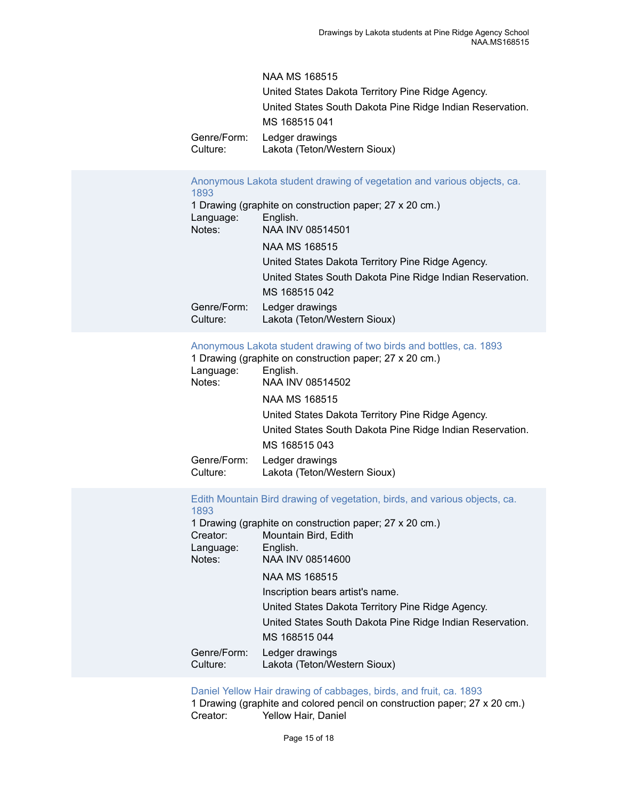|             | <b>NAA MS 168515</b>                                      |
|-------------|-----------------------------------------------------------|
|             | United States Dakota Territory Pine Ridge Agency.         |
|             | United States South Dakota Pine Ridge Indian Reservation. |
|             | MS 168515 041                                             |
| Genre/Form: | Ledger drawings                                           |
| Culture:    | Lakota (Teton/Western Sioux)                              |

#### [Anonymous Lakota student drawing of vegetation and various objects, ca.](https://ids.si.edu/ids/deliveryService?id=NMNH-168515_08514501) [1893](https://ids.si.edu/ids/deliveryService?id=NMNH-168515_08514501)

|             | 1 Drawing (graphite on construction paper; 27 x 20 cm.)   |
|-------------|-----------------------------------------------------------|
| Language:   | English.                                                  |
| Notes:      | NAA INV 08514501                                          |
|             | NAA MS 168515                                             |
|             | United States Dakota Territory Pine Ridge Agency.         |
|             | United States South Dakota Pine Ridge Indian Reservation. |
|             | MS 168515 042                                             |
| Genre/Form: | Ledger drawings                                           |
| Culture:    | Lakota (Teton/Western Sioux)                              |

#### [Anonymous Lakota student drawing of two birds and bottles, ca. 1893](https://ids.si.edu/ids/deliveryService?id=NMNH-168515_08514502)

|                         | 1 Drawing (graphite on construction paper; 27 x 20 cm.)   |
|-------------------------|-----------------------------------------------------------|
| Language:               | English.                                                  |
| Notes:                  | NAA INV 08514502                                          |
|                         | NAA MS 168515                                             |
|                         | United States Dakota Territory Pine Ridge Agency.         |
|                         | United States South Dakota Pine Ridge Indian Reservation. |
|                         | MS 168515 043                                             |
| Genre/Form:<br>Culture: | Ledger drawings<br>Lakota (Teton/Western Sioux)           |
|                         |                                                           |

#### [Edith Mountain Bird drawing of vegetation, birds, and various objects, ca.](https://ids.si.edu/ids/deliveryService?id=NMNH-168515_08514600) [1893](https://ids.si.edu/ids/deliveryService?id=NMNH-168515_08514600)

|             | 1 Drawing (graphite on construction paper; 27 x 20 cm.)   |  |  |
|-------------|-----------------------------------------------------------|--|--|
| Creator:    | Mountain Bird, Edith                                      |  |  |
| Language:   | English.                                                  |  |  |
| Notes:      | NAA INV 08514600                                          |  |  |
|             | NAA MS 168515                                             |  |  |
|             | Inscription bears artist's name.                          |  |  |
|             | United States Dakota Territory Pine Ridge Agency.         |  |  |
|             | United States South Dakota Pine Ridge Indian Reservation. |  |  |
|             | MS 168515 044                                             |  |  |
| Genre/Form: | Ledger drawings                                           |  |  |
| Culture:    | Lakota (Teton/Western Sioux)                              |  |  |

#### Daniel Yellow Hair drawing of [cabbages,](https://ids.si.edu/ids/deliveryService?id=NMNH-168515_08514701) birds, and fruit, ca. 1893

1 Drawing (graphite and colored pencil on construction paper; 27 x 20 cm.) Creator: Yellow Hair, Daniel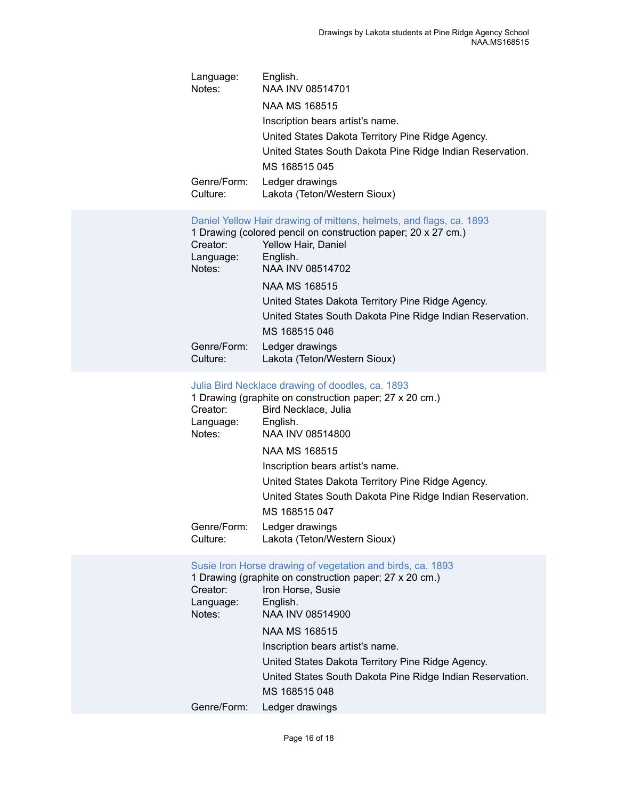| Language:<br>Notes:                                                                                                                                                                                                            | English.<br>NAA INV 08514701                                               |  |  |
|--------------------------------------------------------------------------------------------------------------------------------------------------------------------------------------------------------------------------------|----------------------------------------------------------------------------|--|--|
|                                                                                                                                                                                                                                | NAA MS 168515                                                              |  |  |
|                                                                                                                                                                                                                                | Inscription bears artist's name.                                           |  |  |
|                                                                                                                                                                                                                                | United States Dakota Territory Pine Ridge Agency.                          |  |  |
|                                                                                                                                                                                                                                | United States South Dakota Pine Ridge Indian Reservation.                  |  |  |
|                                                                                                                                                                                                                                | MS 168515 045                                                              |  |  |
| Genre/Form:<br>Ledger drawings                                                                                                                                                                                                 |                                                                            |  |  |
| Culture:                                                                                                                                                                                                                       | Lakota (Teton/Western Sioux)                                               |  |  |
| Daniel Yellow Hair drawing of mittens, helmets, and flags, ca. 1893<br>1 Drawing (colored pencil on construction paper; 20 x 27 cm.)<br>Creator:<br>Yellow Hair, Daniel<br>English.<br>Language:<br>NAA INV 08514702<br>Notes: |                                                                            |  |  |
|                                                                                                                                                                                                                                | NAA MS 168515                                                              |  |  |
|                                                                                                                                                                                                                                | United States Dakota Territory Pine Ridge Agency.                          |  |  |
|                                                                                                                                                                                                                                | United States South Dakota Pine Ridge Indian Reservation.<br>MS 168515 046 |  |  |
| Genre/Form:                                                                                                                                                                                                                    | Ledger drawings                                                            |  |  |
| Culture:                                                                                                                                                                                                                       | Lakota (Teton/Western Sioux)                                               |  |  |

# [Julia Bird Necklace drawing of doodles, ca. 1893](https://ids.si.edu/ids/deliveryService?id=NMNH-168515_08514800)

|             | 1 Drawing (graphite on construction paper; 27 x 20 cm.)   |  |  |
|-------------|-----------------------------------------------------------|--|--|
| Creator:    | Bird Necklace, Julia                                      |  |  |
| Language:   | English.                                                  |  |  |
| Notes:      | NAA INV 08514800                                          |  |  |
|             | NAA MS 168515                                             |  |  |
|             | Inscription bears artist's name.                          |  |  |
|             | United States Dakota Territory Pine Ridge Agency.         |  |  |
|             | United States South Dakota Pine Ridge Indian Reservation. |  |  |
|             | MS 168515 047                                             |  |  |
| Genre/Form: | Ledger drawings                                           |  |  |
| Culture:    | Lakota (Teton/Western Sioux)                              |  |  |

# [Susie Iron Horse drawing of vegetation and birds, ca. 1893](https://ids.si.edu/ids/deliveryService?id=NMNH-168515_08514900)

|             | 1 Drawing (graphite on construction paper; 27 x 20 cm.)   |  |  |  |
|-------------|-----------------------------------------------------------|--|--|--|
| Creator:    | Iron Horse, Susie                                         |  |  |  |
| Language:   | English.                                                  |  |  |  |
| Notes:      | NAA INV 08514900                                          |  |  |  |
|             | NAA MS 168515                                             |  |  |  |
|             | Inscription bears artist's name.                          |  |  |  |
|             | United States Dakota Territory Pine Ridge Agency.         |  |  |  |
|             | United States South Dakota Pine Ridge Indian Reservation. |  |  |  |
|             | MS 168515 048                                             |  |  |  |
| Genre/Form: | Ledger drawings                                           |  |  |  |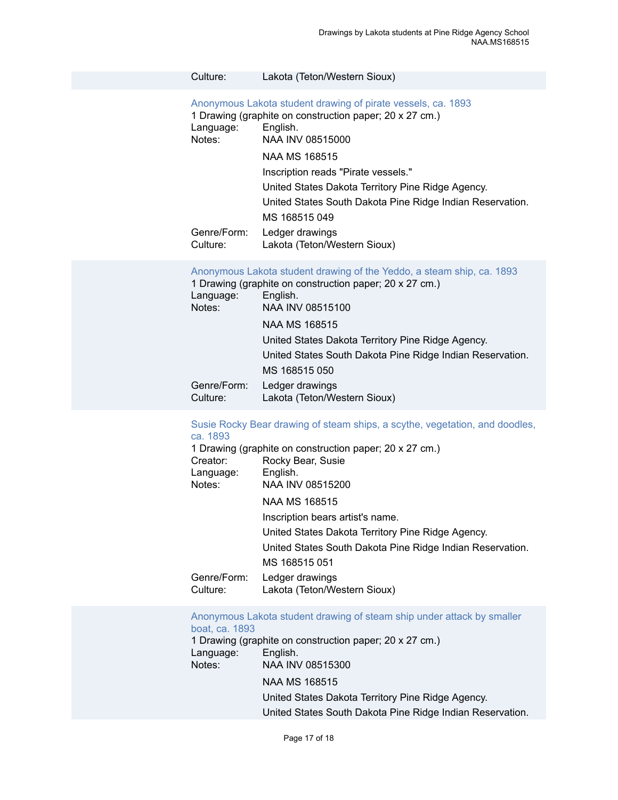#### Culture: Lakota (Teton/Western Sioux)

[Anonymous Lakota student drawing of pirate vessels, ca. 1893](https://ids.si.edu/ids/deliveryService?id=NMNH-168515_08515000)

1 Drawing (graphite on construction paper; 20 x 27 cm.) Language: English.<br>Notes: NAA INV NAA INV 08515000

NAA MS 168515

Inscription reads "Pirate vessels."

United States Dakota Territory Pine Ridge Agency.

United States South Dakota Pine Ridge Indian Reservation.

MS 168515 049 Genre/Form: Ledger drawings Culture: Lakota (Teton/Western Sioux)

|                         | Anonymous Lakota student drawing of the Yeddo, a steam ship, ca. 1893 |
|-------------------------|-----------------------------------------------------------------------|
|                         | 1 Drawing (graphite on construction paper; 20 x 27 cm.)               |
| Language:               | English.                                                              |
| Notes:                  | NAA INV 08515100                                                      |
|                         | NAA MS 168515                                                         |
|                         | United States Dakota Territory Pine Ridge Agency.                     |
|                         | United States South Dakota Pine Ridge Indian Reservation.             |
|                         | MS 168515 050                                                         |
| Genre/Form:<br>Culture: | Ledger drawings<br>Lakota (Teton/Western Sioux)                       |

#### [Susie Rocky Bear drawing of steam ships, a scythe, vegetation, and doodles,](https://ids.si.edu/ids/deliveryService?id=NMNH-168515_08515200) [ca. 1893](https://ids.si.edu/ids/deliveryService?id=NMNH-168515_08515200)

| Creator:<br>Language:<br>Notes: | 1 Drawing (graphite on construction paper; 20 x 27 cm.)<br>Rocky Bear, Susie<br>English.<br>NAA INV 08515200 |
|---------------------------------|--------------------------------------------------------------------------------------------------------------|
|                                 | NAA MS 168515                                                                                                |
|                                 | Inscription bears artist's name.                                                                             |
|                                 | United States Dakota Territory Pine Ridge Agency.                                                            |
|                                 | United States South Dakota Pine Ridge Indian Reservation.                                                    |
|                                 | MS 168515 051                                                                                                |
| Genre/Form:<br>Culture:         | Ledger drawings<br>Lakota (Teton/Western Sioux)                                                              |
|                                 |                                                                                                              |

#### [Anonymous Lakota student drawing of steam ship under attack by smaller](https://ids.si.edu/ids/deliveryService?id=NMNH-168515_08515300) [boat, ca. 1893](https://ids.si.edu/ids/deliveryService?id=NMNH-168515_08515300)

1 Drawing (graphite on construction paper; 20 x 27 cm.) Language: English. Notes: NAA INV 08515300 NAA MS 168515 United States Dakota Territory Pine Ridge Agency. United States South Dakota Pine Ridge Indian Reservation.